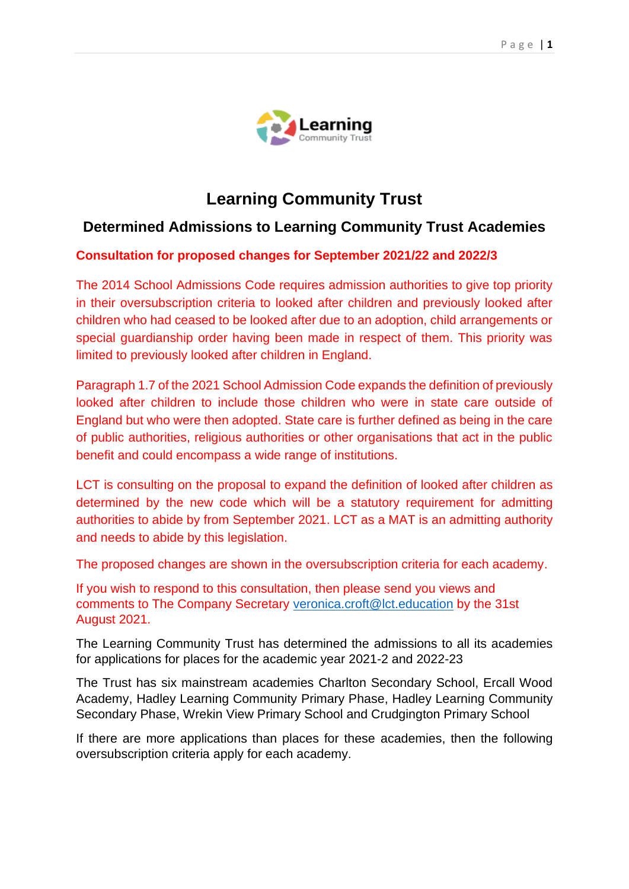

# **Learning Community Trust**

# **Determined Admissions to Learning Community Trust Academies**

#### **Consultation for proposed changes for September 2021/22 and 2022/3**

The 2014 School Admissions Code requires admission authorities to give top priority in their oversubscription criteria to looked after children and previously looked after children who had ceased to be looked after due to an adoption, child arrangements or special guardianship order having been made in respect of them. This priority was limited to previously looked after children in England.

Paragraph 1.7 of the 2021 School Admission Code expands the definition of previously looked after children to include those children who were in state care outside of England but who were then adopted. State care is further defined as being in the care of public authorities, religious authorities or other organisations that act in the public benefit and could encompass a wide range of institutions.

LCT is consulting on the proposal to expand the definition of looked after children as determined by the new code which will be a statutory requirement for admitting authorities to abide by from September 2021. LCT as a MAT is an admitting authority and needs to abide by this legislation.

The proposed changes are shown in the oversubscription criteria for each academy.

If you wish to respond to this consultation, then please send you views and comments to The Company Secretary [veronica.croft@lct.education](mailto:veronica.croft@lct.education) by the 31st August 2021.

The Learning Community Trust has determined the admissions to all its academies for applications for places for the academic year 2021-2 and 2022-23

The Trust has six mainstream academies Charlton Secondary School, Ercall Wood Academy, Hadley Learning Community Primary Phase, Hadley Learning Community Secondary Phase, Wrekin View Primary School and Crudgington Primary School

If there are more applications than places for these academies, then the following oversubscription criteria apply for each academy.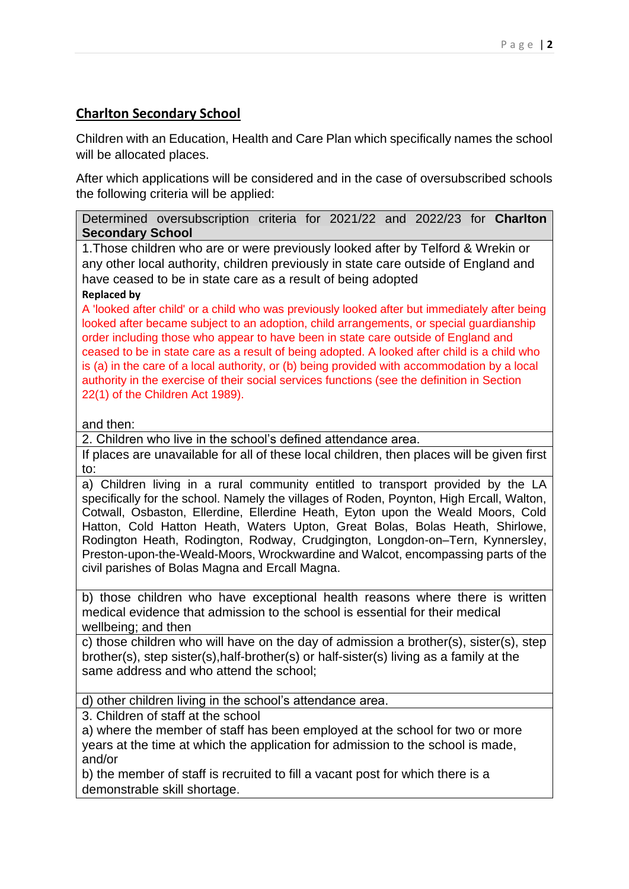# **Charlton Secondary School**

Children with an Education, Health and Care Plan which specifically names the school will be allocated places.

After which applications will be considered and in the case of oversubscribed schools the following criteria will be applied:

Determined oversubscription criteria for 2021/22 and 2022/23 for **Charlton Secondary School**

1.Those children who are or were previously looked after by Telford & Wrekin or any other local authority, children previously in state care outside of England and have ceased to be in state care as a result of being adopted **Replaced by**

#### A 'looked after child' or a child who was previously looked after but immediately after being looked after became subject to an adoption, child arrangements, or special guardianship order including those who appear to have been in state care outside of England and ceased to be in state care as a result of being adopted. A looked after child is a child who is (a) in the care of a local authority, or (b) being provided with accommodation by a local authority in the exercise of their social services functions (see the definition in Section 22(1) of the Children Act 1989).

and then:

2. Children who live in the school's defined attendance area.

If places are unavailable for all of these local children, then places will be given first to:

a) Children living in a rural community entitled to transport provided by the LA specifically for the school. Namely the villages of Roden, Poynton, High Ercall, Walton, Cotwall, Osbaston, Ellerdine, Ellerdine Heath, Eyton upon the Weald Moors, Cold Hatton, Cold Hatton Heath, Waters Upton, Great Bolas, Bolas Heath, Shirlowe, Rodington Heath, Rodington, Rodway, Crudgington, Longdon-on–Tern, Kynnersley, Preston-upon-the-Weald-Moors, Wrockwardine and Walcot, encompassing parts of the civil parishes of Bolas Magna and Ercall Magna.

b) those children who have exceptional health reasons where there is written medical evidence that admission to the school is essential for their medical wellbeing; and then

c) those children who will have on the day of admission a brother(s), sister(s), step brother(s), step sister(s),half-brother(s) or half-sister(s) living as a family at the same address and who attend the school;

d) other children living in the school's attendance area.

3. Children of staff at the school

a) where the member of staff has been employed at the school for two or more years at the time at which the application for admission to the school is made, and/or

b) the member of staff is recruited to fill a vacant post for which there is a demonstrable skill shortage.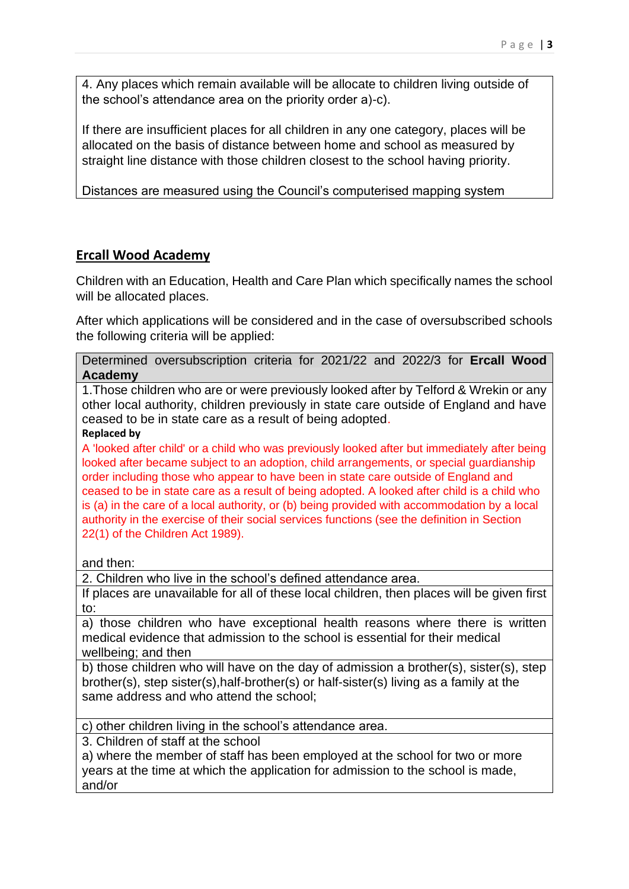4. Any places which remain available will be allocate to children living outside of the school's attendance area on the priority order a)-c).

If there are insufficient places for all children in any one category, places will be allocated on the basis of distance between home and school as measured by straight line distance with those children closest to the school having priority.

Distances are measured using the Council's computerised mapping system

# **Ercall Wood Academy**

Children with an Education, Health and Care Plan which specifically names the school will be allocated places.

After which applications will be considered and in the case of oversubscribed schools the following criteria will be applied:

|         | Determined oversubscription criteria for 2021/22 and 2022/3 for Ercall Wood |  |  |  |  |
|---------|-----------------------------------------------------------------------------|--|--|--|--|
| Academy |                                                                             |  |  |  |  |

1.Those children who are or were previously looked after by Telford & Wrekin or any other local authority, children previously in state care outside of England and have ceased to be in state care as a result of being adopted.

#### **Replaced by**

A 'looked after child' or a child who was previously looked after but immediately after being looked after became subject to an adoption, child arrangements, or special guardianship order including those who appear to have been in state care outside of England and ceased to be in state care as a result of being adopted. A looked after child is a child who is (a) in the care of a local authority, or (b) being provided with accommodation by a local authority in the exercise of their social services functions (see the definition in Section 22(1) of the Children Act 1989).

and then:

2. Children who live in the school's defined attendance area.

If places are unavailable for all of these local children, then places will be given first to:

a) those children who have exceptional health reasons where there is written medical evidence that admission to the school is essential for their medical wellbeing; and then

b) those children who will have on the day of admission a brother(s), sister(s), step brother(s), step sister(s),half-brother(s) or half-sister(s) living as a family at the same address and who attend the school;

c) other children living in the school's attendance area.

3. Children of staff at the school

a) where the member of staff has been employed at the school for two or more years at the time at which the application for admission to the school is made, and/or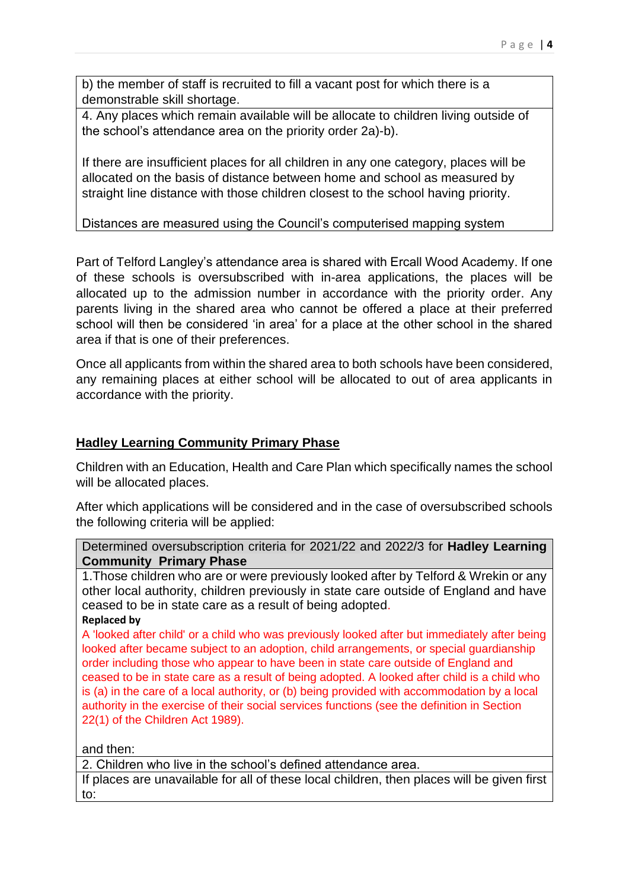b) the member of staff is recruited to fill a vacant post for which there is a demonstrable skill shortage.

4. Any places which remain available will be allocate to children living outside of the school's attendance area on the priority order 2a)-b).

If there are insufficient places for all children in any one category, places will be allocated on the basis of distance between home and school as measured by straight line distance with those children closest to the school having priority.

Distances are measured using the Council's computerised mapping system

Part of Telford Langley's attendance area is shared with Ercall Wood Academy. If one of these schools is oversubscribed with in-area applications, the places will be allocated up to the admission number in accordance with the priority order. Any parents living in the shared area who cannot be offered a place at their preferred school will then be considered 'in area' for a place at the other school in the shared area if that is one of their preferences.

Once all applicants from within the shared area to both schools have been considered, any remaining places at either school will be allocated to out of area applicants in accordance with the priority.

# **Hadley Learning Community Primary Phase**

Children with an Education, Health and Care Plan which specifically names the school will be allocated places.

After which applications will be considered and in the case of oversubscribed schools the following criteria will be applied:

Determined oversubscription criteria for 2021/22 and 2022/3 for **Hadley Learning Community Primary Phase**

1.Those children who are or were previously looked after by Telford & Wrekin or any other local authority, children previously in state care outside of England and have ceased to be in state care as a result of being adopted.

**Replaced by**

A 'looked after child' or a child who was previously looked after but immediately after being looked after became subject to an adoption, child arrangements, or special guardianship order including those who appear to have been in state care outside of England and ceased to be in state care as a result of being adopted. A looked after child is a child who is (a) in the care of a local authority, or (b) being provided with accommodation by a local authority in the exercise of their social services functions (see the definition in Section 22(1) of the Children Act 1989).

and then:

2. Children who live in the school's defined attendance area.

If places are unavailable for all of these local children, then places will be given first to: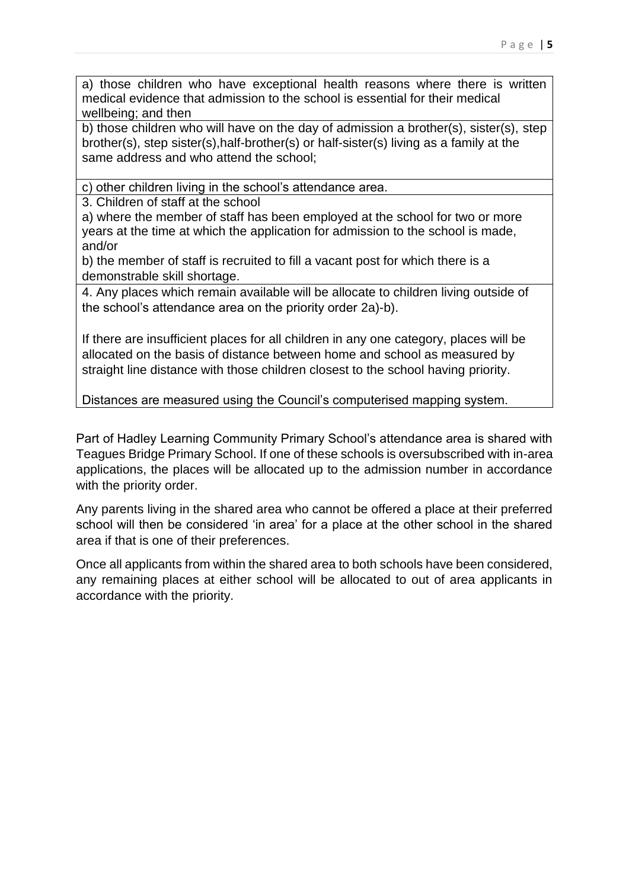a) those children who have exceptional health reasons where there is written medical evidence that admission to the school is essential for their medical wellbeing; and then

b) those children who will have on the day of admission a brother(s), sister(s), step brother(s), step sister(s),half-brother(s) or half-sister(s) living as a family at the same address and who attend the school;

c) other children living in the school's attendance area.

3. Children of staff at the school

a) where the member of staff has been employed at the school for two or more years at the time at which the application for admission to the school is made, and/or

b) the member of staff is recruited to fill a vacant post for which there is a demonstrable skill shortage.

4. Any places which remain available will be allocate to children living outside of the school's attendance area on the priority order 2a)-b).

If there are insufficient places for all children in any one category, places will be allocated on the basis of distance between home and school as measured by straight line distance with those children closest to the school having priority.

Distances are measured using the Council's computerised mapping system.

Part of Hadley Learning Community Primary School's attendance area is shared with Teagues Bridge Primary School. If one of these schools is oversubscribed with in-area applications, the places will be allocated up to the admission number in accordance with the priority order.

Any parents living in the shared area who cannot be offered a place at their preferred school will then be considered 'in area' for a place at the other school in the shared area if that is one of their preferences.

Once all applicants from within the shared area to both schools have been considered, any remaining places at either school will be allocated to out of area applicants in accordance with the priority.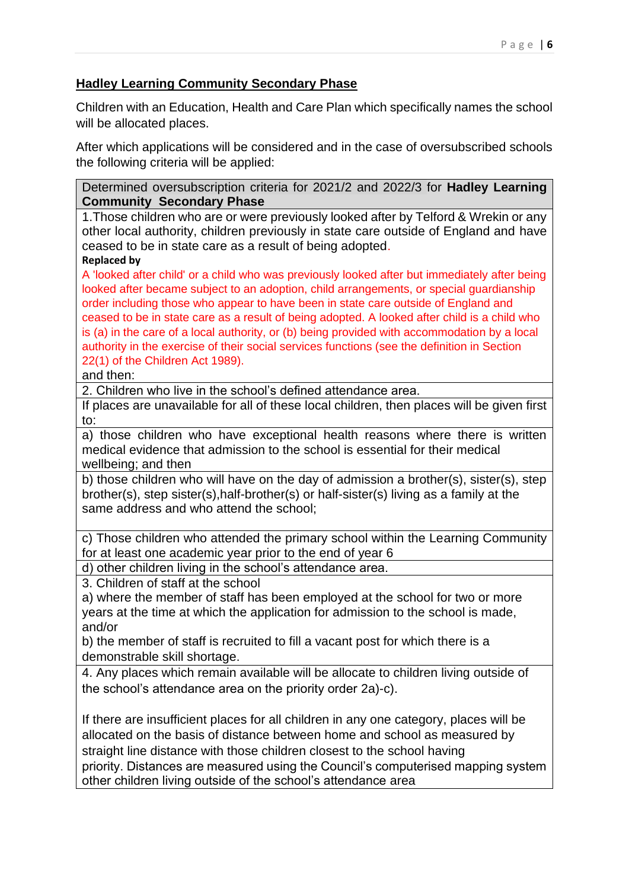### **Hadley Learning Community Secondary Phase**

Children with an Education, Health and Care Plan which specifically names the school will be allocated places.

After which applications will be considered and in the case of oversubscribed schools the following criteria will be applied:

Determined oversubscription criteria for 2021/2 and 2022/3 for **Hadley Learning Community Secondary Phase**

1.Those children who are or were previously looked after by Telford & Wrekin or any other local authority, children previously in state care outside of England and have ceased to be in state care as a result of being adopted.

#### **Replaced by**

A 'looked after child' or a child who was previously looked after but immediately after being looked after became subject to an adoption, child arrangements, or special guardianship order including those who appear to have been in state care outside of England and ceased to be in state care as a result of being adopted. A looked after child is a child who is (a) in the care of a local authority, or (b) being provided with accommodation by a local authority in the exercise of their social services functions (see the definition in Section 22(1) of the Children Act 1989).

#### and then:

2. Children who live in the school's defined attendance area.

If places are unavailable for all of these local children, then places will be given first to:

a) those children who have exceptional health reasons where there is written medical evidence that admission to the school is essential for their medical wellbeing; and then

b) those children who will have on the day of admission a brother(s), sister(s), step brother(s), step sister(s),half-brother(s) or half-sister(s) living as a family at the same address and who attend the school;

c) Those children who attended the primary school within the Learning Community for at least one academic year prior to the end of year 6

d) other children living in the school's attendance area.

3. Children of staff at the school

a) where the member of staff has been employed at the school for two or more years at the time at which the application for admission to the school is made, and/or

b) the member of staff is recruited to fill a vacant post for which there is a demonstrable skill shortage.

4. Any places which remain available will be allocate to children living outside of the school's attendance area on the priority order 2a)-c).

If there are insufficient places for all children in any one category, places will be allocated on the basis of distance between home and school as measured by straight line distance with those children closest to the school having priority. Distances are measured using the Council's computerised mapping system other children living outside of the school's attendance area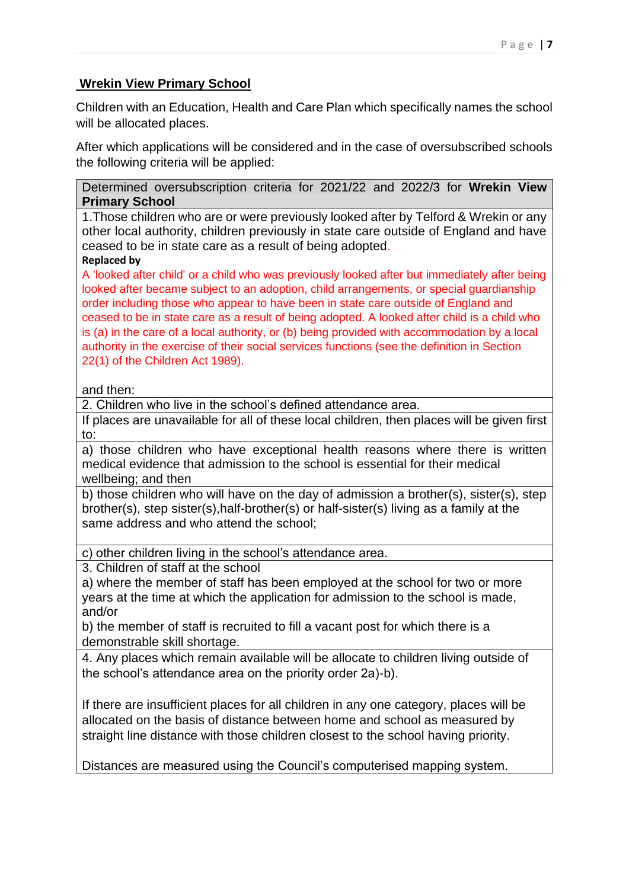## **Wrekin View Primary School**

Children with an Education, Health and Care Plan which specifically names the school will be allocated places.

After which applications will be considered and in the case of oversubscribed schools the following criteria will be applied:

Determined oversubscription criteria for 2021/22 and 2022/3 for **Wrekin View Primary School**

1.Those children who are or were previously looked after by Telford & Wrekin or any other local authority, children previously in state care outside of England and have ceased to be in state care as a result of being adopted.

#### **Replaced by**

A 'looked after child' or a child who was previously looked after but immediately after being looked after became subject to an adoption, child arrangements, or special guardianship order including those who appear to have been in state care outside of England and ceased to be in state care as a result of being adopted. A looked after child is a child who is (a) in the care of a local authority, or (b) being provided with accommodation by a local authority in the exercise of their social services functions (see the definition in Section 22(1) of the Children Act 1989).

#### and then:

2. Children who live in the school's defined attendance area.

If places are unavailable for all of these local children, then places will be given first to:

a) those children who have exceptional health reasons where there is written medical evidence that admission to the school is essential for their medical wellbeing; and then

b) those children who will have on the day of admission a brother(s), sister(s), step brother(s), step sister(s),half-brother(s) or half-sister(s) living as a family at the same address and who attend the school;

c) other children living in the school's attendance area.

3. Children of staff at the school

a) where the member of staff has been employed at the school for two or more years at the time at which the application for admission to the school is made, and/or

b) the member of staff is recruited to fill a vacant post for which there is a demonstrable skill shortage.

4. Any places which remain available will be allocate to children living outside of the school's attendance area on the priority order 2a)-b).

If there are insufficient places for all children in any one category, places will be allocated on the basis of distance between home and school as measured by straight line distance with those children closest to the school having priority.

Distances are measured using the Council's computerised mapping system.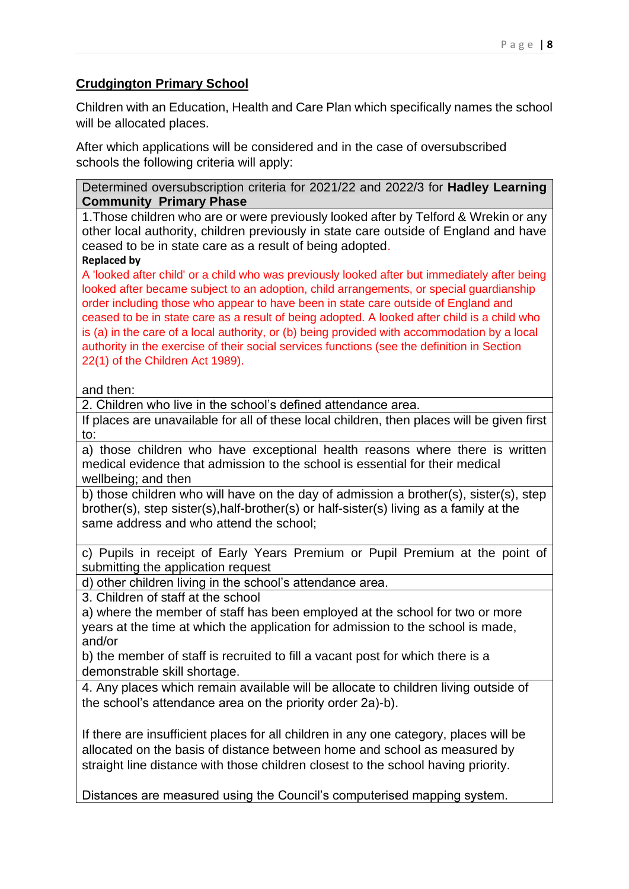# **Crudgington Primary School**

Children with an Education, Health and Care Plan which specifically names the school will be allocated places.

After which applications will be considered and in the case of oversubscribed schools the following criteria will apply:

Determined oversubscription criteria for 2021/22 and 2022/3 for **Hadley Learning Community Primary Phase**

1.Those children who are or were previously looked after by Telford & Wrekin or any other local authority, children previously in state care outside of England and have ceased to be in state care as a result of being adopted.

#### **Replaced by**

A 'looked after child' or a child who was previously looked after but immediately after being looked after became subject to an adoption, child arrangements, or special guardianship order including those who appear to have been in state care outside of England and ceased to be in state care as a result of being adopted. A looked after child is a child who is (a) in the care of a local authority, or (b) being provided with accommodation by a local authority in the exercise of their social services functions (see the definition in Section 22(1) of the Children Act 1989).

#### and then:

2. Children who live in the school's defined attendance area.

If places are unavailable for all of these local children, then places will be given first to:

a) those children who have exceptional health reasons where there is written medical evidence that admission to the school is essential for their medical wellbeing; and then

b) those children who will have on the day of admission a brother(s), sister(s), step brother(s), step sister(s),half-brother(s) or half-sister(s) living as a family at the same address and who attend the school;

c) Pupils in receipt of Early Years Premium or Pupil Premium at the point of submitting the application request

d) other children living in the school's attendance area.

3. Children of staff at the school

a) where the member of staff has been employed at the school for two or more years at the time at which the application for admission to the school is made, and/or

b) the member of staff is recruited to fill a vacant post for which there is a demonstrable skill shortage.

4. Any places which remain available will be allocate to children living outside of the school's attendance area on the priority order 2a)-b).

If there are insufficient places for all children in any one category, places will be allocated on the basis of distance between home and school as measured by straight line distance with those children closest to the school having priority.

Distances are measured using the Council's computerised mapping system.